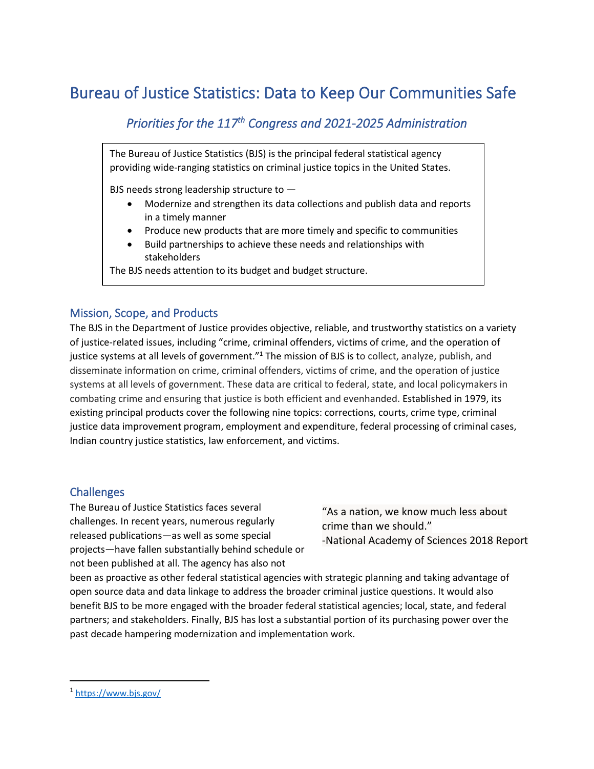# Bureau of Justice Statistics: Data to Keep Our Communities Safe

# *Priorities for the 117th Congress and 2021-2025 Administration*

The Bureau of Justice Statistics (BJS) is the principal federal statistical agency providing wide-ranging statistics on criminal justice topics in the United States.

BJS needs strong leadership structure to —

- Modernize and strengthen its data collections and publish data and reports in a timely manner
- Produce new products that are more timely and specific to communities
- Build partnerships to achieve these needs and relationships with stakeholders

The BJS needs attention to its budget and budget structure.

#### Mission, Scope, and Products

The BJS in the Department of Justice provides objective, reliable, and trustworthy statistics on a variety of justice-related issues, including "crime, criminal offenders, victims of crime, and the operation of justice systems at all levels of government."<sup>1</sup> The mission of BJS is to collect, analyze, publish, and disseminate information on crime, criminal offenders, victims of crime, and the operation of justice systems at all levels of government. These data are critical to federal, state, and local policymakers in combating crime and ensuring that justice is both efficient and evenhanded. Established in 1979, its existing principal products cover the following nine topics: corrections, courts, crime type, criminal justice data improvement program, employment and expenditure, federal processing of criminal cases, Indian country justice statistics, law enforcement, and victims.

# **Challenges**

The Bureau of Justice Statistics faces several challenges. In recent years, numerous regularly released publications—as well as some special projects—have fallen substantially behind schedule or not been published at all. The agency has also not

"As a nation, we know much less about crime than we should." -National Academy of Sciences 2018 Report

been as proactive as other federal statistical agencies with strategic planning and taking advantage of open source data and data linkage to address the broader criminal justice questions. It would also benefit BJS to be more engaged with the broader federal statistical agencies; local, state, and federal partners; and stakeholders. Finally, BJS has lost a substantial portion of its purchasing power over the past decade hampering modernization and implementation work.

1 <https://www.bjs.gov/>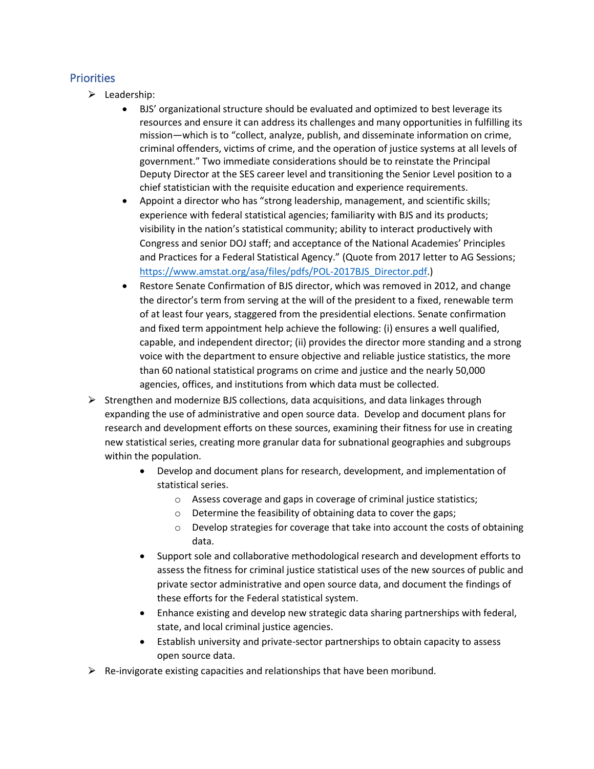### **Priorities**

- $\blacktriangleright$  Leadership:
	- BJS' organizational structure should be evaluated and optimized to best leverage its resources and ensure it can address its challenges and many opportunities in fulfilling its mission—which is to "collect, analyze, publish, and disseminate information on crime, criminal offenders, victims of crime, and the operation of justice systems at all levels of government." Two immediate considerations should be to reinstate the Principal Deputy Director at the SES career level and transitioning the Senior Level position to a chief statistician with the requisite education and experience requirements.
	- Appoint a director who has "strong leadership, management, and scientific skills; experience with federal statistical agencies; familiarity with BJS and its products; visibility in the nation's statistical community; ability to interact productively with Congress and senior DOJ staff; and acceptance of the National Academies' Principles and Practices for a Federal Statistical Agency." (Quote from 2017 letter to AG Sessions; [https://www.amstat.org/asa/files/pdfs/POL-2017BJS\\_Director.pdf.](https://www.amstat.org/asa/files/pdfs/POL-2017BJS_Director.pdf))
	- Restore Senate Confirmation of BJS director, which was removed in 2012, and change the director's term from serving at the will of the president to a fixed, renewable term of at least four years, staggered from the presidential elections. Senate confirmation and fixed term appointment help achieve the following: (i) ensures a well qualified, capable, and independent director; (ii) provides the director more standing and a strong voice with the department to ensure objective and reliable justice statistics, the more than 60 national statistical programs on crime and justice and the nearly 50,000 agencies, offices, and institutions from which data must be collected.
- $\triangleright$  Strengthen and modernize BJS collections, data acquisitions, and data linkages through expanding the use of administrative and open source data. Develop and document plans for research and development efforts on these sources, examining their fitness for use in creating new statistical series, creating more granular data for subnational geographies and subgroups within the population.
	- Develop and document plans for research, development, and implementation of statistical series.
		- o Assess coverage and gaps in coverage of criminal justice statistics;
		- o Determine the feasibility of obtaining data to cover the gaps;
		- o Develop strategies for coverage that take into account the costs of obtaining data.
	- Support sole and collaborative methodological research and development efforts to assess the fitness for criminal justice statistical uses of the new sources of public and private sector administrative and open source data, and document the findings of these efforts for the Federal statistical system.
	- Enhance existing and develop new strategic data sharing partnerships with federal, state, and local criminal justice agencies.
	- Establish university and private-sector partnerships to obtain capacity to assess open source data.
- $\triangleright$  Re-invigorate existing capacities and relationships that have been moribund.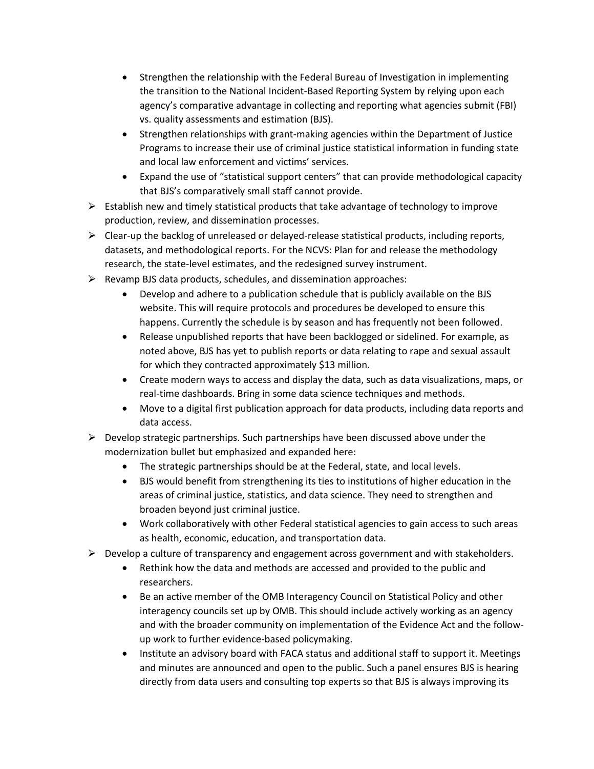- Strengthen the relationship with the Federal Bureau of Investigation in implementing the transition to the National Incident-Based Reporting System by relying upon each agency's comparative advantage in collecting and reporting what agencies submit (FBI) vs. quality assessments and estimation (BJS).
- Strengthen relationships with grant-making agencies within the Department of Justice Programs to increase their use of criminal justice statistical information in funding state and local law enforcement and victims' services.
- Expand the use of "statistical support centers" that can provide methodological capacity that BJS's comparatively small staff cannot provide.
- $\triangleright$  Establish new and timely statistical products that take advantage of technology to improve production, review, and dissemination processes.
- $\triangleright$  Clear-up the backlog of unreleased or delayed-release statistical products, including reports, datasets, and methodological reports. For the NCVS: Plan for and release the methodology research, the state-level estimates, and the redesigned survey instrument.
- $\triangleright$  Revamp BJS data products, schedules, and dissemination approaches:
	- Develop and adhere to a publication schedule that is publicly available on the BJS website. This will require protocols and procedures be developed to ensure this happens. Currently the schedule is by season and has frequently not been followed.
	- Release unpublished reports that have been backlogged or sidelined. For example, as noted above, BJS has yet to publish reports or data relating to rape and sexual assault for which they contracted approximately \$13 million.
	- Create modern ways to access and display the data, such as data visualizations, maps, or real-time dashboards. Bring in some data science techniques and methods.
	- Move to a digital first publication approach for data products, including data reports and data access.
- $\triangleright$  Develop strategic partnerships. Such partnerships have been discussed above under the modernization bullet but emphasized and expanded here:
	- The strategic partnerships should be at the Federal, state, and local levels.
	- BJS would benefit from strengthening its ties to institutions of higher education in the areas of criminal justice, statistics, and data science. They need to strengthen and broaden beyond just criminal justice.
	- Work collaboratively with other Federal statistical agencies to gain access to such areas as health, economic, education, and transportation data.
- $\triangleright$  Develop a culture of transparency and engagement across government and with stakeholders.
	- Rethink how the data and methods are accessed and provided to the public and researchers.
	- Be an active member of the OMB Interagency Council on Statistical Policy and other interagency councils set up by OMB. This should include actively working as an agency and with the broader community on implementation of the Evidence Act and the followup work to further evidence-based policymaking.
	- Institute an advisory board with FACA status and additional staff to support it. Meetings and minutes are announced and open to the public. Such a panel ensures BJS is hearing directly from data users and consulting top experts so that BJS is always improving its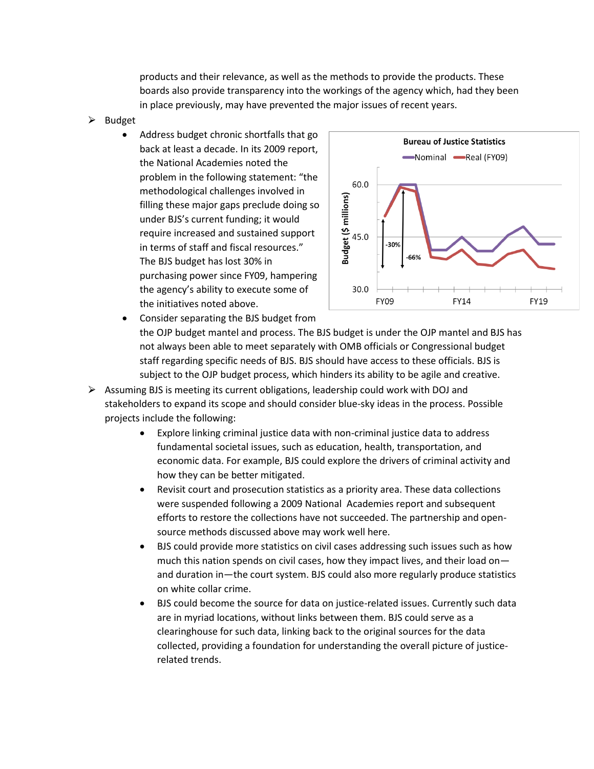products and their relevance, as well as the methods to provide the products. These boards also provide transparency into the workings of the agency which, had they been in place previously, may have prevented the major issues of recent years.

- $\triangleright$  Budget
	- Address budget chronic shortfalls that go back at least a decade. In its 2009 report, the National Academies noted the problem in the following statement: "the methodological challenges involved in filling these major gaps preclude doing so under BJS's current funding; it would require increased and sustained support in terms of staff and fiscal resources." The BJS budget has lost 30% in purchasing power since FY09, hampering the agency's ability to execute some of the initiatives noted above.



- Consider separating the BJS budget from the OJP budget mantel and process. The BJS budget is under the OJP mantel and BJS has not always been able to meet separately with OMB officials or Congressional budget staff regarding specific needs of BJS. BJS should have access to these officials. BJS is subject to the OJP budget process, which hinders its ability to be agile and creative.
- $\triangleright$  Assuming BJS is meeting its current obligations, leadership could work with DOJ and stakeholders to expand its scope and should consider blue-sky ideas in the process. Possible projects include the following:
	- Explore linking criminal justice data with non-criminal justice data to address fundamental societal issues, such as education, health, transportation, and economic data. For example, BJS could explore the drivers of criminal activity and how they can be better mitigated.
	- Revisit court and prosecution statistics as a priority area. These data collections were suspended following a 2009 National Academies report and subsequent efforts to restore the collections have not succeeded. The partnership and opensource methods discussed above may work well here.
	- BJS could provide more statistics on civil cases addressing such issues such as how much this nation spends on civil cases, how they impact lives, and their load on and duration in—the court system. BJS could also more regularly produce statistics on white collar crime.
	- BJS could become the source for data on justice-related issues. Currently such data are in myriad locations, without links between them. BJS could serve as a clearinghouse for such data, linking back to the original sources for the data collected, providing a foundation for understanding the overall picture of justicerelated trends.